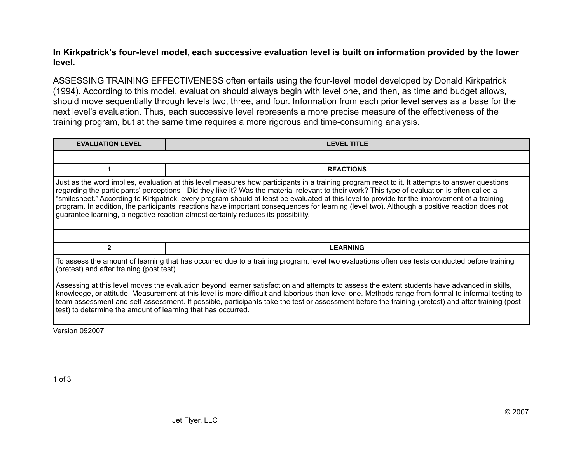## **In Kirkpatrick's four-level model, each successive evaluation level is built on information provided by the lower level.**

ASSESSING TRAINING EFFECTIVENESS often entails using the four-level model developed by Donald Kirkpatrick (1994). According to this model, evaluation should always begin with level one, and then, as time and budget allows, should move sequentially through levels two, three, and four. Information from each prior level serves as a base for the next level's evaluation. Thus, each successive level represents a more precise measure of the effectiveness of the training program, but at the same time requires a more rigorous and time-consuming analysis.

| <b>EVALUATION LEVEL</b>                                                                                                                                                                                                                                                                                                                                                                                                                                                                                                                                                                                                                                                                  | <b>LEVEL TITLE</b> |  |
|------------------------------------------------------------------------------------------------------------------------------------------------------------------------------------------------------------------------------------------------------------------------------------------------------------------------------------------------------------------------------------------------------------------------------------------------------------------------------------------------------------------------------------------------------------------------------------------------------------------------------------------------------------------------------------------|--------------------|--|
|                                                                                                                                                                                                                                                                                                                                                                                                                                                                                                                                                                                                                                                                                          |                    |  |
|                                                                                                                                                                                                                                                                                                                                                                                                                                                                                                                                                                                                                                                                                          | <b>REACTIONS</b>   |  |
| Just as the word implies, evaluation at this level measures how participants in a training program react to it. It attempts to answer questions<br>regarding the participants' perceptions - Did they like it? Was the material relevant to their work? This type of evaluation is often called a<br>"smilesheet." According to Kirkpatrick, every program should at least be evaluated at this level to provide for the improvement of a training<br>program. In addition, the participants' reactions have important consequences for learning (level two). Although a positive reaction does not<br>guarantee learning, a negative reaction almost certainly reduces its possibility. |                    |  |
|                                                                                                                                                                                                                                                                                                                                                                                                                                                                                                                                                                                                                                                                                          |                    |  |
| 2                                                                                                                                                                                                                                                                                                                                                                                                                                                                                                                                                                                                                                                                                        | <b>LEARNING</b>    |  |
| To assess the amount of learning that has occurred due to a training program, level two evaluations often use tests conducted before training<br>(pretest) and after training (post test).                                                                                                                                                                                                                                                                                                                                                                                                                                                                                               |                    |  |
| Assessing at this level moves the evaluation beyond learner satisfaction and attempts to assess the extent students have advanced in skills,<br>knowledge, or attitude. Measurement at this level is more difficult and laborious than level one. Methods range from formal to informal testing to<br>team assessment and self-assessment. If possible, participants take the test or assessment before the training (pretest) and after training (post<br>test) to determine the amount of learning that has occurred.                                                                                                                                                                  |                    |  |

Version 092007

1 of 3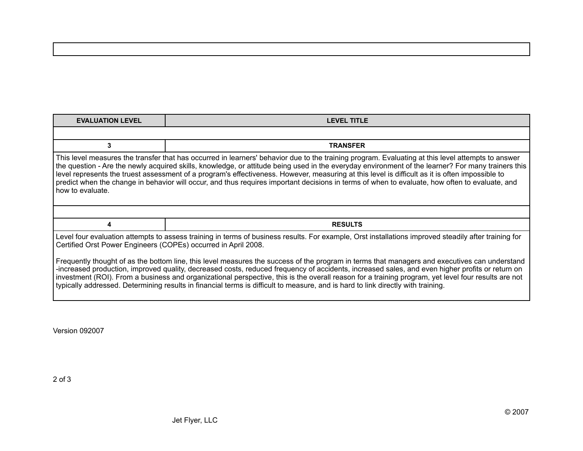| <b>EVALUATION LEVEL</b>                                                                                                                                                                                                                                                                                                                                                                                                                                                                                                                                                                                                                                                                                                                                                                                               | <b>LEVEL TITLE</b> |  |
|-----------------------------------------------------------------------------------------------------------------------------------------------------------------------------------------------------------------------------------------------------------------------------------------------------------------------------------------------------------------------------------------------------------------------------------------------------------------------------------------------------------------------------------------------------------------------------------------------------------------------------------------------------------------------------------------------------------------------------------------------------------------------------------------------------------------------|--------------------|--|
|                                                                                                                                                                                                                                                                                                                                                                                                                                                                                                                                                                                                                                                                                                                                                                                                                       |                    |  |
| 3                                                                                                                                                                                                                                                                                                                                                                                                                                                                                                                                                                                                                                                                                                                                                                                                                     | <b>TRANSFER</b>    |  |
| This level measures the transfer that has occurred in learners' behavior due to the training program. Evaluating at this level attempts to answer<br>the question - Are the newly acquired skills, knowledge, or attitude being used in the everyday environment of the learner? For many trainers this<br>level represents the truest assessment of a program's effectiveness. However, measuring at this level is difficult as it is often impossible to<br>predict when the change in behavior will occur, and thus requires important decisions in terms of when to evaluate, how often to evaluate, and<br>how to evaluate.                                                                                                                                                                                      |                    |  |
|                                                                                                                                                                                                                                                                                                                                                                                                                                                                                                                                                                                                                                                                                                                                                                                                                       |                    |  |
| 4                                                                                                                                                                                                                                                                                                                                                                                                                                                                                                                                                                                                                                                                                                                                                                                                                     | <b>RESULTS</b>     |  |
| Level four evaluation attempts to assess training in terms of business results. For example, Orst installations improved steadily after training for<br>Certified Orst Power Engineers (COPEs) occurred in April 2008.<br>Frequently thought of as the bottom line, this level measures the success of the program in terms that managers and executives can understand<br>-increased production, improved quality, decreased costs, reduced frequency of accidents, increased sales, and even higher profits or return on<br>investment (ROI). From a business and organizational perspective, this is the overall reason for a training program, yet level four results are not<br>typically addressed. Determining results in financial terms is difficult to measure, and is hard to link directly with training. |                    |  |

Version 092007

2 of 3